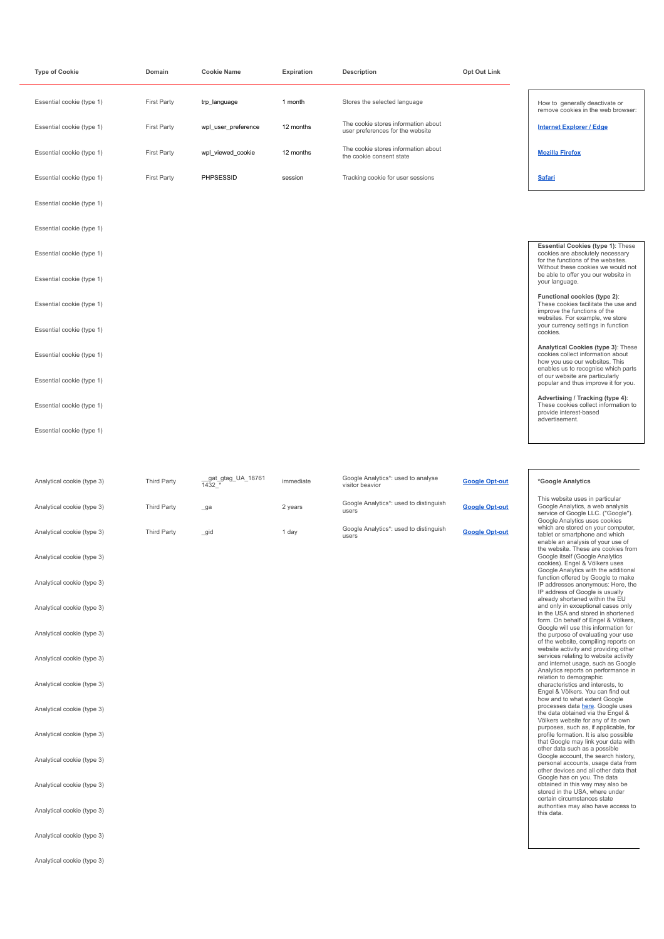| <b>Type of Cookie</b>      | Domain             | <b>Cookie Name</b>           | Expiration | Description                                                             | Opt Out Link          |                                                                                                                                                              |
|----------------------------|--------------------|------------------------------|------------|-------------------------------------------------------------------------|-----------------------|--------------------------------------------------------------------------------------------------------------------------------------------------------------|
| Essential cookie (type 1)  | <b>First Party</b> | trp_language                 | 1 month    | Stores the selected language                                            |                       | How to generally deactivate or<br>remove cookies in the web browser:                                                                                         |
| Essential cookie (type 1)  | <b>First Party</b> | wpl_user_preference          | 12 months  | The cookie stores information about<br>user preferences for the website |                       | <b>Internet Explorer / Edge</b>                                                                                                                              |
| Essential cookie (type 1)  | <b>First Party</b> | wpl_viewed_cookie            | 12 months  | The cookie stores information about<br>the cookie consent state         |                       | <b>Mozilla Firefox</b>                                                                                                                                       |
| Essential cookie (type 1)  | <b>First Party</b> | PHPSESSID                    | session    | Tracking cookie for user sessions                                       |                       | <b>Safari</b>                                                                                                                                                |
| Essential cookie (type 1)  |                    |                              |            |                                                                         |                       |                                                                                                                                                              |
| Essential cookie (type 1)  |                    |                              |            |                                                                         |                       |                                                                                                                                                              |
| Essential cookie (type 1)  |                    |                              |            |                                                                         |                       | Essential Cookies (type 1): These<br>cookies are absolutely necessary<br>for the functions of the websites.                                                  |
| Essential cookie (type 1)  |                    |                              |            |                                                                         |                       | Without these cookies we would not<br>be able to offer you our website in<br>your language.                                                                  |
| Essential cookie (type 1)  |                    |                              |            |                                                                         |                       | Functional cookies (type 2):<br>These cookies facilitate the use and<br>improve the functions of the                                                         |
| Essential cookie (type 1)  |                    |                              |            |                                                                         |                       | websites. For example, we store<br>your currency settings in function<br>cookies.                                                                            |
| Essential cookie (type 1)  |                    |                              |            |                                                                         |                       | Analytical Cookies (type 3): These<br>cookies collect information about<br>how you use our websites. This                                                    |
| Essential cookie (type 1)  |                    |                              |            |                                                                         |                       | enables us to recognise which parts<br>of our website are particularly<br>popular and thus improve it for you.                                               |
| Essential cookie (type 1)  |                    |                              |            |                                                                         |                       | Advertising / Tracking (type 4):<br>These cookies collect information to<br>provide interest-based                                                           |
| Essential cookie (type 1)  |                    |                              |            |                                                                         |                       | advertisement.                                                                                                                                               |
|                            |                    |                              |            |                                                                         |                       |                                                                                                                                                              |
| Analytical cookie (type 3) | <b>Third Party</b> | _gat_gtag_UA_18761<br>1432 * | immediate  | Google Analytics*: used to analyse<br>visitor beavior                   | <b>Google Opt-out</b> | *Google Analytics                                                                                                                                            |
| Analytical cookie (type 3) | <b>Third Party</b> | _ga                          | 2 years    | Google Analytics*: used to distinguish<br>users                         | <b>Google Opt-out</b> | This website uses in particular<br>Google Analytics, a web analysis<br>service of Google LLC. ("Google").                                                    |
| Analytical cookie (type 3) | Third Party        | _gid                         | 1 day      | Google Analytics*: used to distinguish<br>users                         | <b>Google Opt-out</b> | Google Analytics uses cookies<br>which are stored on your computer,<br>tablet or smartphone and which<br>enable an analysis of your use of                   |
| Analytical cookie (type 3) |                    |                              |            |                                                                         |                       | the website. These are cookies from<br>Google itself (Google Analytics<br>cookies). Engel & Völkers uses                                                     |
| Analytical cookie (type 3) |                    |                              |            |                                                                         |                       | Google Analytics with the additional<br>function offered by Google to make<br>IP addresses anonymous: Here, the<br>IP address of Google is usually           |
| Analytical cookie (type 3) |                    |                              |            |                                                                         |                       | already shortened within the EU<br>and only in exceptional cases only<br>in the USA and stored in shortened                                                  |
| Analytical cookie (type 3) |                    |                              |            |                                                                         |                       | form. On behalf of Engel & Völkers,<br>Google will use this information for<br>the purpose of evaluating your use<br>of the website, compiling reports on    |
| Analytical cookie (type 3) |                    |                              |            |                                                                         |                       | website activity and providing other<br>services relating to website activity<br>and internet usage, such as Google                                          |
| Analytical cookie (type 3) |                    |                              |            |                                                                         |                       | Analytics reports on performance in<br>relation to demographic<br>characteristics and interests, to<br>Engel & Völkers. You can find out                     |
| Analytical cookie (type 3) |                    |                              |            |                                                                         |                       | how and to what extent Google<br>processes data here. Google uses<br>the data obtained via the Engel &                                                       |
| Analytical cookie (type 3) |                    |                              |            |                                                                         |                       | Völkers website for any of its own<br>purposes, such as, if applicable, for<br>profile formation. It is also possible<br>that Google may link your data with |
| Analytical cookie (type 3) |                    |                              |            |                                                                         |                       | other data such as a possible<br>Google account, the search history,<br>personal accounts, usage data from                                                   |
| Analytical cookie (type 3) |                    |                              |            |                                                                         |                       | other devices and all other data that<br>Google has on you. The data<br>obtained in this way may also be<br>stored in the USA, where under                   |
| Analytical cookie (type 3) |                    |                              |            |                                                                         |                       | certain circumstances state<br>authorities may also have access to<br>this data.                                                                             |

Analytical cookie (type 3)

Analytical cookie (type 3)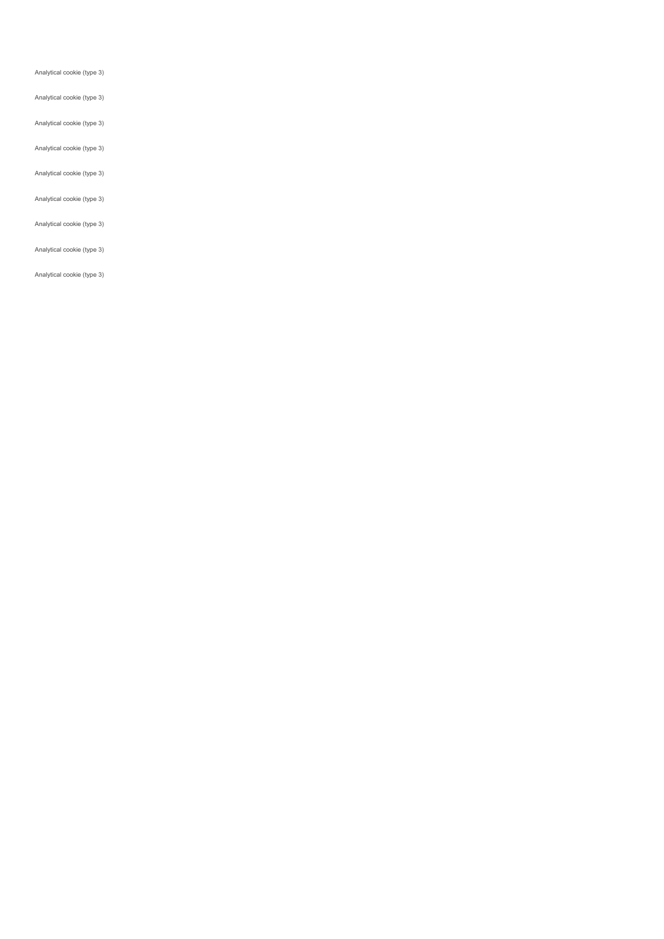Analytical cookie (type 3)

### Analytical cookie (type 3)

## Analytical cookie (type 3)

Analytical cookie (type 3)

Analytical cookie (type 3)

#### Analytical cookie (type 3)

#### Analytical cookie (type 3)

#### Analytical cookie (type 3)

#### Analytical cookie (type 3)